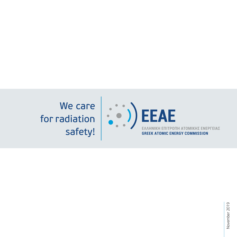We care for radiation safety!

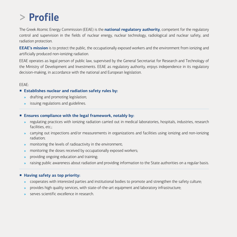## **> Profile**

The Greek Atomic Energy Commission (EEAE) is the **national regulatory authority**, competent for the regulatory control and supervision in the fields of nuclear energy, nuclear technology, radiological and nuclear safety, and radiation protection.

**EEAE's mission** is to protect the public, the occupationally exposed workers and the environment from ionizing and artificially produced non-ionizing radiation.

EEAE operates as legal person of public law, supervised by the General Secretariat for Research and Technology of the Ministry of Development and Investments. EEAE as regulatory authority, enjoys independence in its regulatory decision-making, in accordance with the national and European legislation.

#### EEAE:

#### **Establishes nuclear and radiation safety rules by:**

- » drafting and promoting legislation;
- » issuing regulations and guidelines.

#### **Ensures compliance with the legal framework, notably by:**

- » regulating practices with ionizing radiation carried out in medical laboratories, hospitals, industries, research facilities, etc.;
- » carrying out inspections and/or measurements in organizations and facilities using ionizing and non-ionizing radiation;
- » monitoring the levels of radioactivity in the environment;
- monitoring the doses received by occupationally exposed workers;
- » providing ongoing education and training;
- » raising public awareness about radiation and providing information to the State authorities on a regular basis.

#### **Having safety as top priority:**

- » cooperates with interested parties and institutional bodies to promote and strengthen the safety culture;
- » provides high quality services, with state-of-the-art equipment and laboratory infrastructure;
- » serves scientific excellence in research.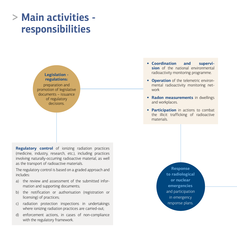## **> Main activities responsibilities**

#### **Legislation regulations:**  preparation and promotion of legislative

documents – issuance of regulatory decisions.

**Regulatory control** of ionizing radiation practices (medicine, industry, research, etc.), including practices involving naturally-occurring radioactive material, as well as the transport of radioactive materials.

The regulatory control is based on a graded approach and includes:

- a) the review and assessment of the submitted information and supporting documents;
- b) the notification or authorisation (registration or licensing) of practices;
- c) radiation protection inspections in undertakings where ionizing radiation practices are carried-out;
- d) enforcement actions, in cases of non-compliance with the regulatory framework.
- **Coordination and supervision** of the national environmental radioactivity monitoring programme.
- **Operation** of the telemetric environmental radioactivity monitoring network
- **Radon measurements** in dwellings and workplaces.
- **Participation** in actions to combat the illicit trafficking of radioactive materials.

**Response to radiological or nuclear emergencies** and participation in emergency response plans.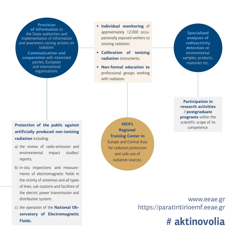**Provision of information** to the State authorities and implementation of information and awareness-raising actions on radiation.

**Communication and cooperation** with interested parties, European and international organisations.

- **Individual monitoring** of approximately 12.000 occupationally exposed workers to ionizing radiation.
- **Calibration of ionizing radiation** instruments.
- **Non-formal education to** professional groups working with radiation.

**Specialized analyses of radioactivity detection** on environmental samples, products, materials etc.

**Protection of the public against 1999 and 1999 and 1999 and 1999 and 1999 and 1999 and 1999 and 1999 and 1999 and 1999 and 1999 and 1999 and 1999 and 1999 and 1999 and 1999 and 1999 and 1999 and 1999 and 1999 and 1999 and artificially produced non-ionizing radiation** including:

- a) the review of radio-emission and environmental impact studies/ reports;
- b) in-situ inspections and measurements of electromagnetic fields in the vicinity of antennas and all types of lines, sub-stations and facilities of the electric power transmission and distribution system;
- c) the operation of the **National Observatory of Electromagnetic Fields.**

**IAEA's Regional Training Center in** Europe and Central Asia for radiation protection and safe use of radiation sources.

**Participation in research activities / postgraduate programs** within the scientific scope of its

### www.eeae.gr https://paratiritirioemf.eeae.gr

# **# aktinovolia**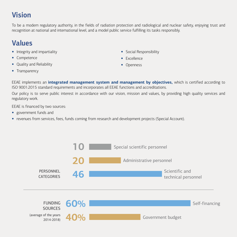### **Vision**

To be a modern regulatory authority, in the fields of radiation protection and radiological and nuclear safety, enjoying trust and recognition at national and international level, and a model public service fulfilling its tasks responsibly.

### **Values**

- Integrity and impartiality
- Competence
- Quality and Reliability
- Social Responsibility
- Excellence
- Openness

• Transparency

EEAE implements an **integrated management system and management by objectives,** which is certified according to ISO 9001:2015 standard requirements and incorporates all EEAE functions and accreditations.

Our policy is to serve public interest in accordance with our vision, mission and values, by providing high quality services and regulatory work.

EEAE is financed by two sources:

- government funds and
- revenues from services, fees, funds coming from research and development projects (Special Account).